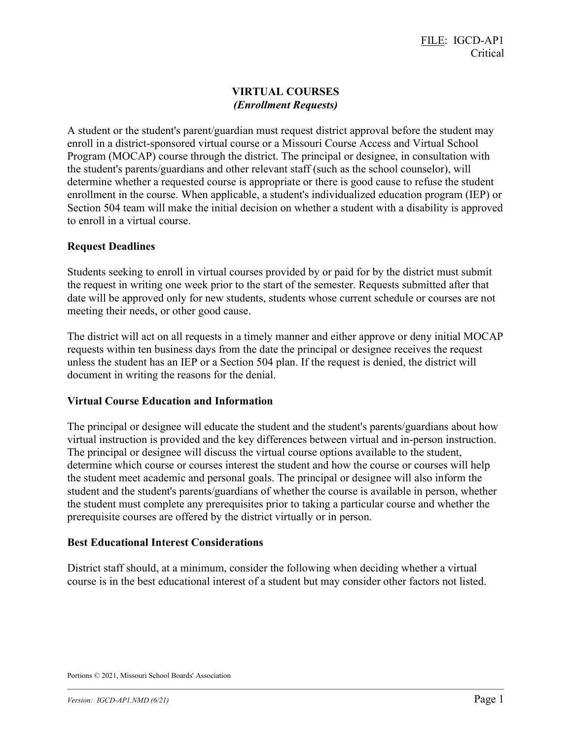# VIRTUAL COURSES (Enrollment Requests)

A student or the student's parent/guardian must request district approval before the student may enroll in a district-sponsored virtual course or a Missouri Course Access and Virtual School Program (MOCAP) course through the district. The principal or designee, in consultation with the student's parents/guardians and other relevant staff (such as the school counselor), will determine whether a requested course is appropriate or there is good cause to refuse the student enrollment in the course. When applicable, a student's individualized education program (IEP) or Section 504 team will make the initial decision on whether a student with a disability is approved to enroll in a virtual course.

## Request Deadlines

Students seeking to enroll in virtual courses provided by or paid for by the district must submit the request in writing one week prior to the start of the semester. Requests submitted after that date will be approved only for new students, students whose current schedule or courses are not meeting their needs, or other good cause.

The district will act on all requests in a timely manner and either approve or deny initial MOCAP requests within ten business days from the date the principal or designee receives the request unless the student has an IEP or a Section 504 plan. If the request is denied, the district will document in writing the reasons for the denial.

### Virtual Course Education and Information

The principal or designee will educate the student and the student's parents/guardians about how virtual instruction is provided and the key differences between virtual and in-person instruction. The principal or designee will discuss the virtual course options available to the student, determine which course or courses interest the student and how the course or courses will help the student meet academic and personal goals. The principal or designee will also inform the student and the student's parents/guardians of whether the course is available in person, whether the student must complete any prerequisites prior to taking a particular course and whether the prerequisite courses are offered by the district virtually or in person.

### Best Educational Interest Considerations

District staff should, at a minimum, consider the following when deciding whether a virtual course is in the best educational interest of a student but may consider other factors not listed.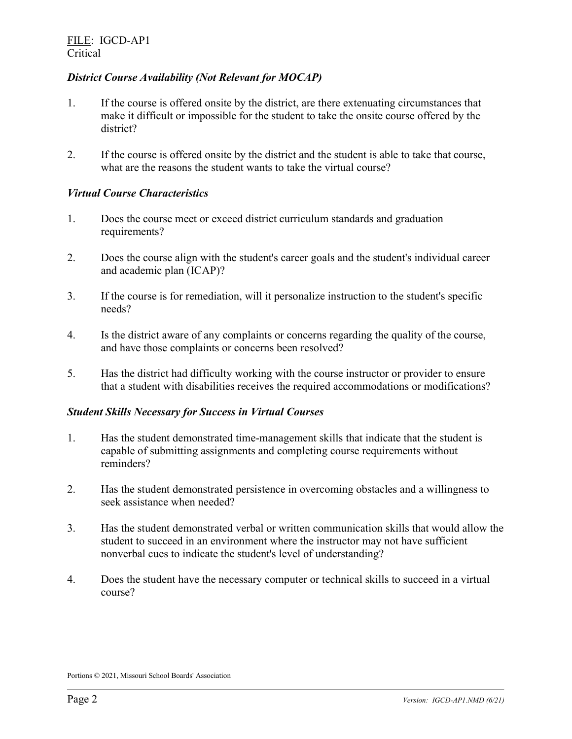## District Course Availability (Not Relevant for MOCAP)

- 1. If the course is offered onsite by the district, are there extenuating circumstances that make it difficult or impossible for the student to take the onsite course offered by the district?
- 2. If the course is offered onsite by the district and the student is able to take that course, what are the reasons the student wants to take the virtual course?

## Virtual Course Characteristics

- 1. Does the course meet or exceed district curriculum standards and graduation requirements?
- 2. Does the course align with the student's career goals and the student's individual career and academic plan (ICAP)?
- 3. If the course is for remediation, will it personalize instruction to the student's specific needs?
- 4. Is the district aware of any complaints or concerns regarding the quality of the course, and have those complaints or concerns been resolved?
- 5. Has the district had difficulty working with the course instructor or provider to ensure that a student with disabilities receives the required accommodations or modifications?

## Student Skills Necessary for Success in Virtual Courses

- 1. Has the student demonstrated time-management skills that indicate that the student is capable of submitting assignments and completing course requirements without reminders?
- 2. Has the student demonstrated persistence in overcoming obstacles and a willingness to seek assistance when needed?
- 3. Has the student demonstrated verbal or written communication skills that would allow the student to succeed in an environment where the instructor may not have sufficient nonverbal cues to indicate the student's level of understanding?
- 4. Does the student have the necessary computer or technical skills to succeed in a virtual course?

Portions © 2021, Missouri School Boards' Association